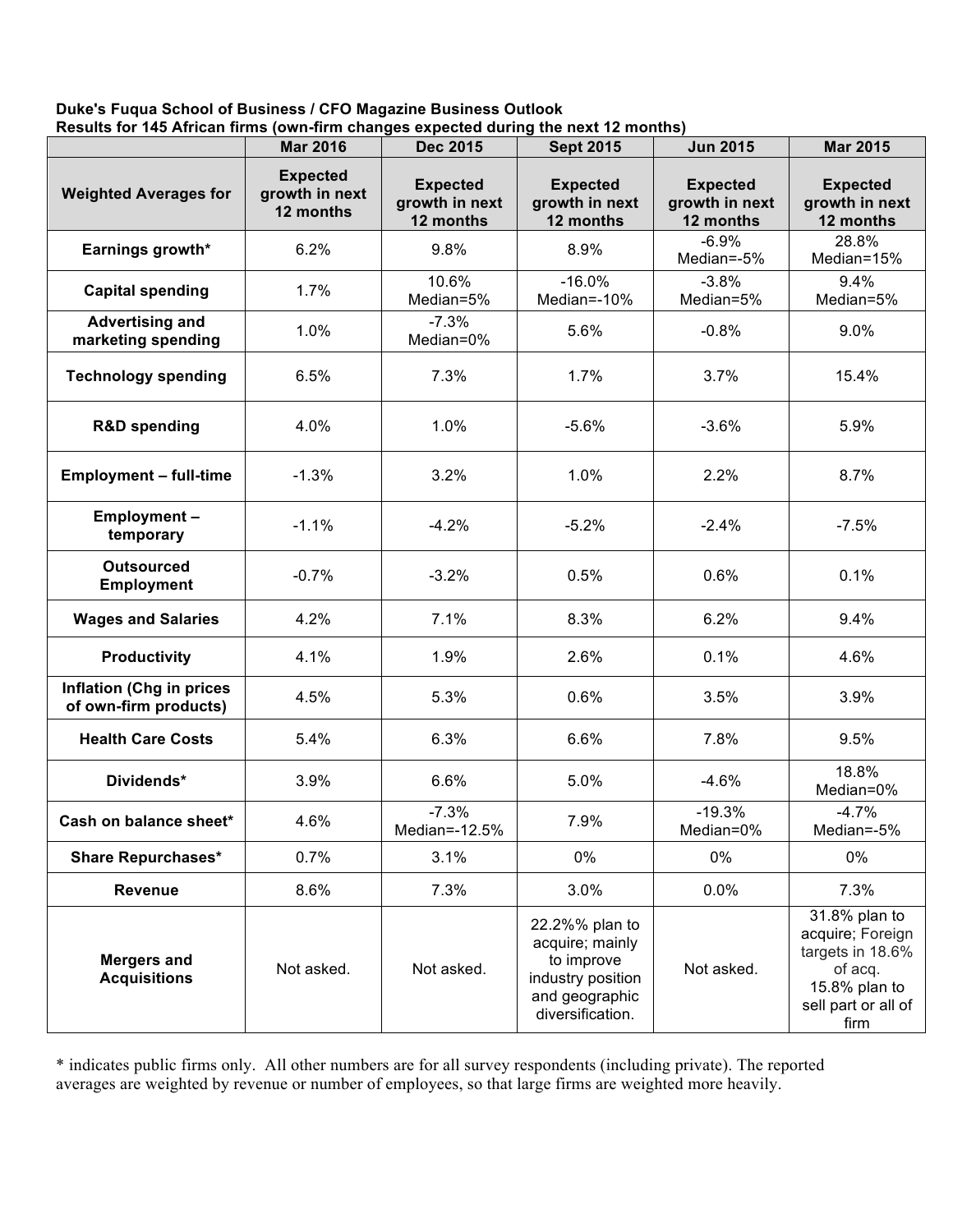## **Duke's Fuqua School of Business / CFO Magazine Business Outlook Results for 145 African firms (own-firm changes expected during the next 12 months)**

|                                                          | <b>Mar 2016</b>                                | <b>Dec 2015</b>                                | <b>Sept 2015</b>                                                                                           | <b>Jun 2015</b>                                | <b>Mar 2015</b>                                                                                                  |
|----------------------------------------------------------|------------------------------------------------|------------------------------------------------|------------------------------------------------------------------------------------------------------------|------------------------------------------------|------------------------------------------------------------------------------------------------------------------|
| <b>Weighted Averages for</b>                             | <b>Expected</b><br>growth in next<br>12 months | <b>Expected</b><br>growth in next<br>12 months | <b>Expected</b><br>growth in next<br>12 months                                                             | <b>Expected</b><br>growth in next<br>12 months | <b>Expected</b><br>growth in next<br>12 months                                                                   |
| Earnings growth*                                         | 6.2%                                           | 9.8%                                           | 8.9%                                                                                                       | $-6.9%$<br>Median=-5%                          | 28.8%<br>Median=15%                                                                                              |
| <b>Capital spending</b>                                  | 1.7%                                           | 10.6%<br>Median=5%                             | $-16.0%$<br>Median=-10%                                                                                    | $-3.8%$<br>Median=5%                           | 9.4%<br>Median=5%                                                                                                |
| <b>Advertising and</b><br>marketing spending             | 1.0%                                           | $-7.3%$<br>Median=0%                           | 5.6%                                                                                                       | $-0.8%$                                        | 9.0%                                                                                                             |
| <b>Technology spending</b>                               | 6.5%                                           | 7.3%                                           | 1.7%                                                                                                       | 3.7%                                           | 15.4%                                                                                                            |
| <b>R&amp;D spending</b>                                  | 4.0%                                           | 1.0%                                           | $-5.6%$                                                                                                    | $-3.6%$                                        | 5.9%                                                                                                             |
| <b>Employment - full-time</b>                            | $-1.3%$                                        | 3.2%                                           | 1.0%                                                                                                       | 2.2%                                           | 8.7%                                                                                                             |
| Employment-<br>temporary                                 | $-1.1%$                                        | $-4.2%$                                        | $-5.2%$                                                                                                    | $-2.4%$                                        | $-7.5%$                                                                                                          |
| <b>Outsourced</b><br><b>Employment</b>                   | $-0.7%$                                        | $-3.2%$                                        | 0.5%                                                                                                       | 0.6%                                           | 0.1%                                                                                                             |
| <b>Wages and Salaries</b>                                | 4.2%                                           | 7.1%                                           | 8.3%                                                                                                       | 6.2%                                           | 9.4%                                                                                                             |
| <b>Productivity</b>                                      | 4.1%                                           | 1.9%                                           | 2.6%                                                                                                       | 0.1%                                           | 4.6%                                                                                                             |
| <b>Inflation (Chg in prices</b><br>of own-firm products) | 4.5%                                           | 5.3%                                           | 0.6%                                                                                                       | 3.5%                                           | 3.9%                                                                                                             |
| <b>Health Care Costs</b>                                 | 5.4%                                           | 6.3%                                           | 6.6%                                                                                                       | 7.8%                                           | 9.5%                                                                                                             |
| Dividends*                                               | 3.9%                                           | 6.6%                                           | 5.0%                                                                                                       | $-4.6%$                                        | 18.8%<br>Median=0%                                                                                               |
| Cash on balance sheet*                                   | 4.6%                                           | $-7.3%$<br>Median=-12.5%                       | 7.9%                                                                                                       | $-19.3%$<br>Median=0%                          | $-4.7%$<br>Median=-5%                                                                                            |
| <b>Share Repurchases*</b>                                | 0.7%                                           | 3.1%                                           | 0%                                                                                                         | 0%                                             | 0%                                                                                                               |
| <b>Revenue</b>                                           | 8.6%                                           | 7.3%                                           | 3.0%                                                                                                       | 0.0%                                           | 7.3%                                                                                                             |
| <b>Mergers and</b><br><b>Acquisitions</b>                | Not asked.                                     | Not asked.                                     | 22.2%% plan to<br>acquire; mainly<br>to improve<br>industry position<br>and geographic<br>diversification. | Not asked.                                     | 31.8% plan to<br>acquire; Foreign<br>targets in 18.6%<br>of acq.<br>15.8% plan to<br>sell part or all of<br>firm |

\* indicates public firms only. All other numbers are for all survey respondents (including private). The reported averages are weighted by revenue or number of employees, so that large firms are weighted more heavily.